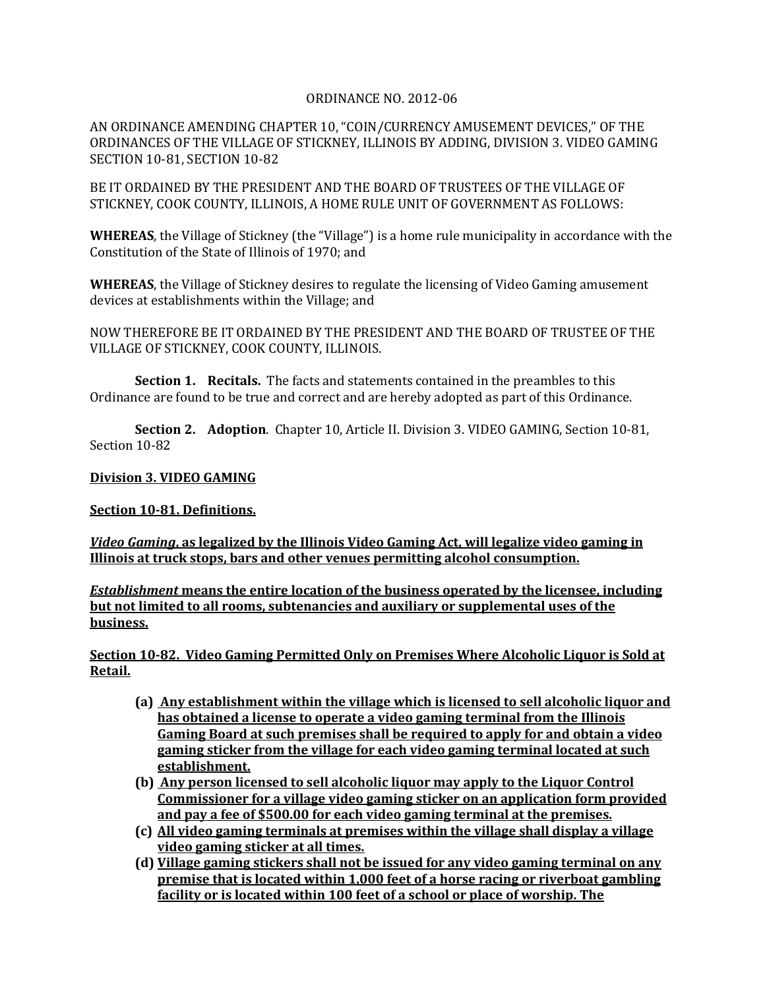## ORDINANCE NO. 2012-06

AN ORDINANCE AMENDING CHAPTER 10, "COIN/CURRENCY AMUSEMENT DEVICES," OF THE ORDINANCES OF THE VILLAGE OF STICKNEY, ILLINOIS BY ADDING, DIVISION 3. VIDEO GAMING SECTION 10-81, SECTION 10-82

BE IT ORDAINED BY THE PRESIDENT AND THE BOARD OF TRUSTEES OF THE VILLAGE OF STICKNEY, COOK COUNTY, ILLINOIS, A HOME RULE UNIT OF GOVERNMENT AS FOLLOWS:

**WHEREAS**, the Village of Stickney (the "Village") is a home rule municipality in accordance with the Constitution of the State of Illinois of 1970; and

**WHEREAS**, the Village of Stickney desires to regulate the licensing of Video Gaming amusement devices at establishments within the Village; and

NOW THEREFORE BE IT ORDAINED BY THE PRESIDENT AND THE BOARD OF TRUSTEE OF THE VILLAGE OF STICKNEY, COOK COUNTY, ILLINOIS.

**Section 1. Recitals.** The facts and statements contained in the preambles to this Ordinance are found to be true and correct and are hereby adopted as part of this Ordinance.

**Section 2. Adoption**. Chapter 10, Article II. Division 3. VIDEO GAMING, Section 10-81, Section 10-82

## **Division 3. VIDEO GAMING**

**Section 10-81. Definitions.**

*Video Gaming***, as legalized by the Illinois Video Gaming Act, will legalize video gaming in Illinois at truck stops, bars and other venues permitting alcohol consumption.** 

*Establishment* **means the entire location of the business operated by the licensee, including but not limited to all rooms, subtenancies and auxiliary or supplemental uses of the business.**

**Section 10-82. Video Gaming Permitted Only on Premises Where Alcoholic Liquor is Sold at Retail.**

- **(a) Any establishment within the village which is licensed to sell alcoholic liquor and has obtained a license to operate a video gaming terminal from the Illinois Gaming Board at such premises shall be required to apply for and obtain a video gaming sticker from the village for each video gaming terminal located at such establishment.**
- **(b) Any person licensed to sell alcoholic liquor may apply to the Liquor Control Commissioner for a village video gaming sticker on an application form provided and pay a fee of \$500.00 for each video gaming terminal at the premises.**
- **(c) All video gaming terminals at premises within the village shall display a village video gaming sticker at all times.**
- **(d) Village gaming stickers shall not be issued for any video gaming terminal on any premise that is located within 1,000 feet of a horse racing or riverboat gambling facility or is located within 100 feet of a school or place of worship. The**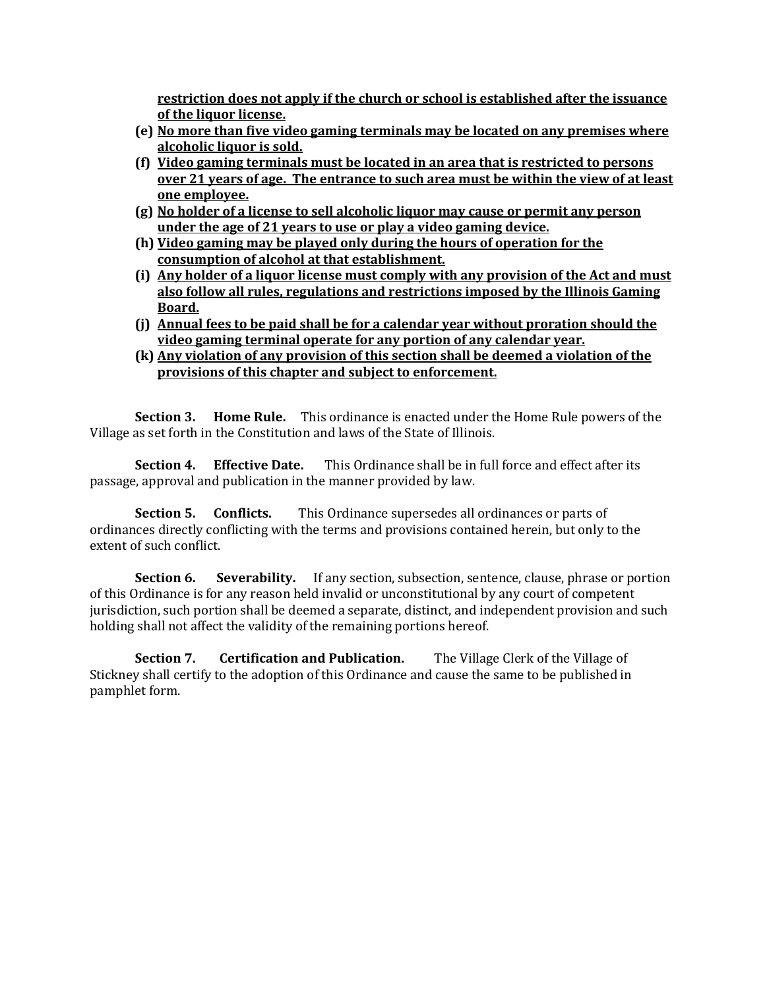**restriction does not apply if the church or school is established after the issuance of the liquor license.**

- **(e) No more than five video gaming terminals may be located on any premises where alcoholic liquor is sold.**
- **(f) Video gaming terminals must be located in an area that is restricted to persons over 21 years of age. The entrance to such area must be within the view of at least one employee.**
- **(g) No holder of a license to sell alcoholic liquor may cause or permit any person under the age of 21 years to use or play a video gaming device.**
- **(h) Video gaming may be played only during the hours of operation for the consumption of alcohol at that establishment.**
- **(i) Any holder of a liquor license must comply with any provision of the Act and must also follow all rules, regulations and restrictions imposed by the Illinois Gaming Board.**
- **(j) Annual fees to be paid shall be for a calendar year without proration should the video gaming terminal operate for any portion of any calendar year.**
- **(k) Any violation of any provision of this section shall be deemed a violation of the provisions of this chapter and subject to enforcement.**

**Section 3. Home Rule.** This ordinance is enacted under the Home Rule powers of the Village as set forth in the Constitution and laws of the State of Illinois.

**Section 4. Effective Date.** This Ordinance shall be in full force and effect after its passage, approval and publication in the manner provided by law.

**Section 5. Conflicts.** This Ordinance supersedes all ordinances or parts of ordinances directly conflicting with the terms and provisions contained herein, but only to the extent of such conflict.

**Section 6.** Severability. If any section, subsection, sentence, clause, phrase or portion of this Ordinance is for any reason held invalid or unconstitutional by any court of competent jurisdiction, such portion shall be deemed a separate, distinct, and independent provision and such holding shall not affect the validity of the remaining portions hereof.

**Section 7. Certification and Publication.** The Village Clerk of the Village of Stickney shall certify to the adoption of this Ordinance and cause the same to be published in pamphlet form.